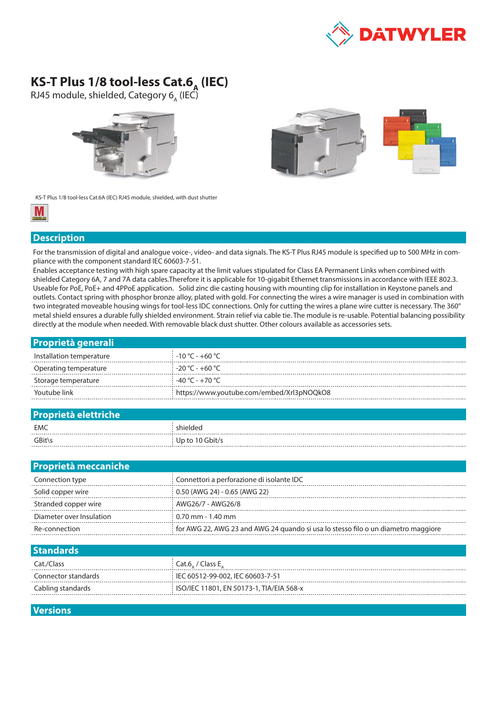

## **KS-T Plus 1/8 tool-less Cat.6<sub>A</sub> (IEC)**

RJ45 module, shielded, Category 6<sub>A</sub> (IEC)





KS-T Plus 1/8 tool-less Cat.6A (IEC) RJ45 module, shielded, with dust shutter



## **Description**

For the transmission of digital and analogue voice-, video- and data signals. The KS-T Plus RJ45 module is specified up to 500 MHz in compliance with the component standard IEC 60603-7-51.

Enables acceptance testing with high spare capacity at the limit values stipulated for Class EA Permanent Links when combined with shielded Category 6A, 7 and 7A data cables.Therefore it is applicable for 10-gigabit Ethernet transmissions in accordance with IEEE 802.3. Useable for PoE, PoE+ and 4PPoE application. Solid zinc die casting housing with mounting clip for installation in Keystone panels and outlets. Contact spring with phosphor bronze alloy, plated with gold. For connecting the wires a wire manager is used in combination with two integrated moveable housing wings for tool-less IDC connections. Only for cutting the wires a plane wire cutter is necessary. The 360° metal shield ensures a durable fully shielded environment. Strain relief via cable tie. The module is re-usable. Potential balancing possibility directly at the module when needed. With removable black dust shutter. Other colours available as accessories sets.

| <b>Proprietà generali</b> |                                           |
|---------------------------|-------------------------------------------|
| Installation temperature  | $-10\degree$ C - $+60\degree$ C -         |
| Operating temperature     | $-20\degree$ C - $+60\degree$ C           |
| Storage temperature       | -40 °C - +70 °C                           |
| Youtube link              | https://www.youtube.com/embed/Xrl3pNOQkO8 |
|                           |                                           |

| <b>Proprietà elettriche</b> |                 |  |  |  |
|-----------------------------|-----------------|--|--|--|
| EMC                         | shielded        |  |  |  |
| GBit\s                      | Up to 10 Gbit/s |  |  |  |
|                             |                 |  |  |  |

| <b>Proprietà meccaniche</b> |                                                                                   |  |  |  |
|-----------------------------|-----------------------------------------------------------------------------------|--|--|--|
| Connection type             | Connettori a perforazione di isolante IDC                                         |  |  |  |
| Solid copper wire           | 0.50 (AWG 24) - 0.65 (AWG 22)                                                     |  |  |  |
| Stranded copper wire        | AWG26/7 - AWG26/8                                                                 |  |  |  |
| Diameter over Insulation    | $0.70$ mm - 1.40 mm                                                               |  |  |  |
| Re-connection               | for AWG 22, AWG 23 and AWG 24 quando si usa lo stesso filo o un diametro maggiore |  |  |  |
|                             |                                                                                   |  |  |  |

| <b>Standards</b>    |                                            |
|---------------------|--------------------------------------------|
| Cat./Class          | $\left\langle$ Cat.6, / Class E,           |
| Connector standards | IEC 60512-99-002, IEC 60603-7-51           |
| Cabling standards   | : ISO/IEC 11801, EN 50173-1, TIA/EIA 568-x |
|                     |                                            |

## **Versions**